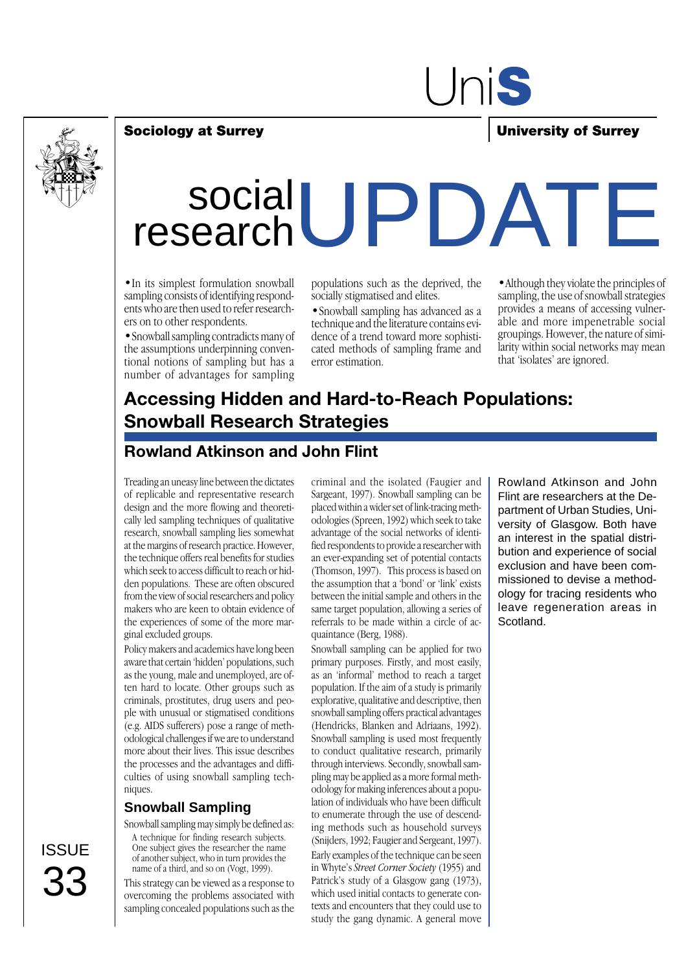

# Uni**s**

#### **Sociology at Surrey University of Surrey**

# social researchUPDATE

•In its simplest formulation snowball sampling consists of identifying respondents who are then used to refer researchers on to other respondents.

•Snowball sampling contradicts many of the assumptions underpinning conventional notions of sampling but has a number of advantages for sampling

populations such as the deprived, the socially stigmatised and elites.

•Snowball sampling has advanced as a technique and the literature contains evidence of a trend toward more sophisticated methods of sampling frame and error estimation.

•Although they violate the principles of sampling, the use of snowball strategies provides a means of accessing vulnerable and more impenetrable social groupings. However, the nature of similarity within social networks may mean that 'isolates' are ignored.

## **Accessing Hidden and Hard-to-Reach Populations: Snowball Research Strategies**

### **Rowland Atkinson and John Flint**

Treading an uneasy line between the dictates of replicable and representative research design and the more flowing and theoretically led sampling techniques of qualitative research, snowball sampling lies somewhat at the margins of research practice. However, the technique offers real benefits for studies which seek to access difficult to reach or hidden populations. These are often obscured from the view of social researchers and policy makers who are keen to obtain evidence of the experiences of some of the more marginal excluded groups.

Policy makers and academics have long been aware that certain 'hidden' populations, such as the young, male and unemployed, are often hard to locate. Other groups such as criminals, prostitutes, drug users and people with unusual or stigmatised conditions (e.g. AIDS sufferers) pose a range of methodological challenges if we are to understand more about their lives. This issue describes the processes and the advantages and difficulties of using snowball sampling techniques.

#### **Snowball Sampling**

Snowball sampling may simply be defined as:

A technique for finding research subjects. One subject gives the researcher the name of another subject, who in turn provides the name of a third, and so on (Vogt, 1999).

This strategy can be viewed as a response to overcoming the problems associated with sampling concealed populations such as the

criminal and the isolated (Faugier and Sargeant, 1997). Snowball sampling can be placed within a wider set of link-tracing methodologies (Spreen, 1992) which seek to take advantage of the social networks of identified respondents to provide a researcher with an ever-expanding set of potential contacts (Thomson, 1997). This process is based on the assumption that a 'bond' or 'link' exists between the initial sample and others in the same target population, allowing a series of referrals to be made within a circle of acquaintance (Berg, 1988).

Snowball sampling can be applied for two primary purposes. Firstly, and most easily, as an 'informal' method to reach a target population. If the aim of a study is primarily explorative, qualitative and descriptive, then snowball sampling offers practical advantages (Hendricks, Blanken and Adriaans, 1992). Snowball sampling is used most frequently to conduct qualitative research, primarily through interviews. Secondly, snowball sampling may be applied as a more formal methodology for making inferences about a population of individuals who have been difficult to enumerate through the use of descending methods such as household surveys (Snijders, 1992; Faugier and Sergeant, 1997). Early examples of the technique can be seen in Whyte's *Street Corner Society* (1955) and Patrick's study of a Glasgow gang (1973), which used initial contacts to generate contexts and encounters that they could use to study the gang dynamic. A general move

Rowland Atkinson and John Flint are researchers at the Department of Urban Studies, University of Glasgow. Both have an interest in the spatial distribution and experience of social exclusion and have been commissioned to devise a methodology for tracing residents who leave regeneration areas in Scotland.

**ISSUE** 33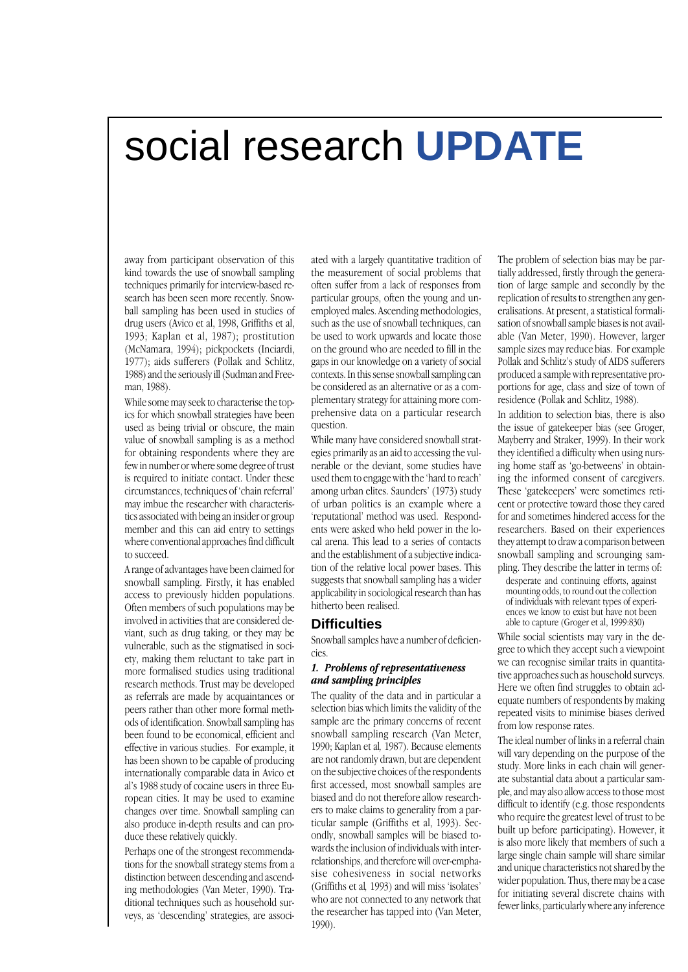## social research **UPDATE**

away from participant observation of this kind towards the use of snowball sampling techniques primarily for interview-based research has been seen more recently. Snowball sampling has been used in studies of drug users (Avico et al, 1998, Griffiths et al, 1993; Kaplan et al, 1987); prostitution (McNamara, 1994); pickpockets (Inciardi, 1977); aids sufferers (Pollak and Schlitz, 1988) and the seriously ill (Sudman and Freeman, 1988).

While some may seek to characterise the topics for which snowball strategies have been used as being trivial or obscure, the main value of snowball sampling is as a method for obtaining respondents where they are few in number or where some degree of trust is required to initiate contact. Under these circumstances, techniques of 'chain referral' may imbue the researcher with characteristics associated with being an insider or group member and this can aid entry to settings where conventional approaches find difficult to succeed.

A range of advantages have been claimed for snowball sampling. Firstly, it has enabled access to previously hidden populations. Often members of such populations may be involved in activities that are considered deviant, such as drug taking, or they may be vulnerable, such as the stigmatised in society, making them reluctant to take part in more formalised studies using traditional research methods. Trust may be developed as referrals are made by acquaintances or peers rather than other more formal methods of identification. Snowball sampling has been found to be economical, efficient and effective in various studies. For example, it has been shown to be capable of producing internationally comparable data in Avico et al's 1988 study of cocaine users in three European cities. It may be used to examine changes over time. Snowball sampling can also produce in-depth results and can produce these relatively quickly.

Perhaps one of the strongest recommendations for the snowball strategy stems from a distinction between descending and ascending methodologies (Van Meter, 1990). Traditional techniques such as household surveys, as 'descending' strategies, are associated with a largely quantitative tradition of the measurement of social problems that often suffer from a lack of responses from particular groups, often the young and unemployed males. Ascending methodologies, such as the use of snowball techniques, can be used to work upwards and locate those on the ground who are needed to fill in the gaps in our knowledge on a variety of social contexts. In this sense snowball sampling can be considered as an alternative or as a complementary strategy for attaining more comprehensive data on a particular research question.

While many have considered snowball strategies primarily as an aid to accessing the vulnerable or the deviant, some studies have used them to engage with the 'hard to reach' among urban elites. Saunders' (1973) study of urban politics is an example where a 'reputational' method was used. Respondents were asked who held power in the local arena. This lead to a series of contacts and the establishment of a subjective indication of the relative local power bases. This suggests that snowball sampling has a wider applicability in sociological research than has hitherto been realised.

#### **Difficulties**

Snowball samples have a number of deficiencies.

#### *1. Problems of representativeness and sampling principles*

The quality of the data and in particular a selection bias which limits the validity of the sample are the primary concerns of recent snowball sampling research (Van Meter, 1990; Kaplan et al*,* 1987). Because elements are not randomly drawn, but are dependent on the subjective choices of the respondents first accessed, most snowball samples are biased and do not therefore allow researchers to make claims to generality from a particular sample (Griffiths et al, 1993). Secondly, snowball samples will be biased towards the inclusion of individuals with interrelationships, and therefore will over-emphasise cohesiveness in social networks (Griffiths et al*,* 1993) and will miss 'isolates' who are not connected to any network that the researcher has tapped into (Van Meter, 1990).

The problem of selection bias may be partially addressed, firstly through the generation of large sample and secondly by the replication of results to strengthen any generalisations. At present, a statistical formalisation of snowball sample biases is not available (Van Meter, 1990). However, larger sample sizes may reduce bias. For example Pollak and Schlitz's study of AIDS sufferers produced a sample with representative proportions for age, class and size of town of residence (Pollak and Schlitz, 1988).

In addition to selection bias, there is also the issue of gatekeeper bias (see Groger, Mayberry and Straker, 1999). In their work they identified a difficulty when using nursing home staff as 'go-betweens' in obtaining the informed consent of caregivers. These 'gatekeepers' were sometimes reticent or protective toward those they cared for and sometimes hindered access for the researchers. Based on their experiences they attempt to draw a comparison between snowball sampling and scrounging sampling. They describe the latter in terms of:

desperate and continuing efforts, against mounting odds, to round out the collection of individuals with relevant types of experiences we know to exist but have not been able to capture (Groger et al, 1999:830)

While social scientists may vary in the degree to which they accept such a viewpoint we can recognise similar traits in quantitative approaches such as household surveys. Here we often find struggles to obtain adequate numbers of respondents by making repeated visits to minimise biases derived from low response rates.

The ideal number of links in a referral chain will vary depending on the purpose of the study. More links in each chain will generate substantial data about a particular sample, and may also allow access to those most difficult to identify (e.g. those respondents who require the greatest level of trust to be built up before participating). However, it is also more likely that members of such a large single chain sample will share similar and unique characteristics not shared by the wider population. Thus, there may be a case for initiating several discrete chains with fewer links, particularly where any inference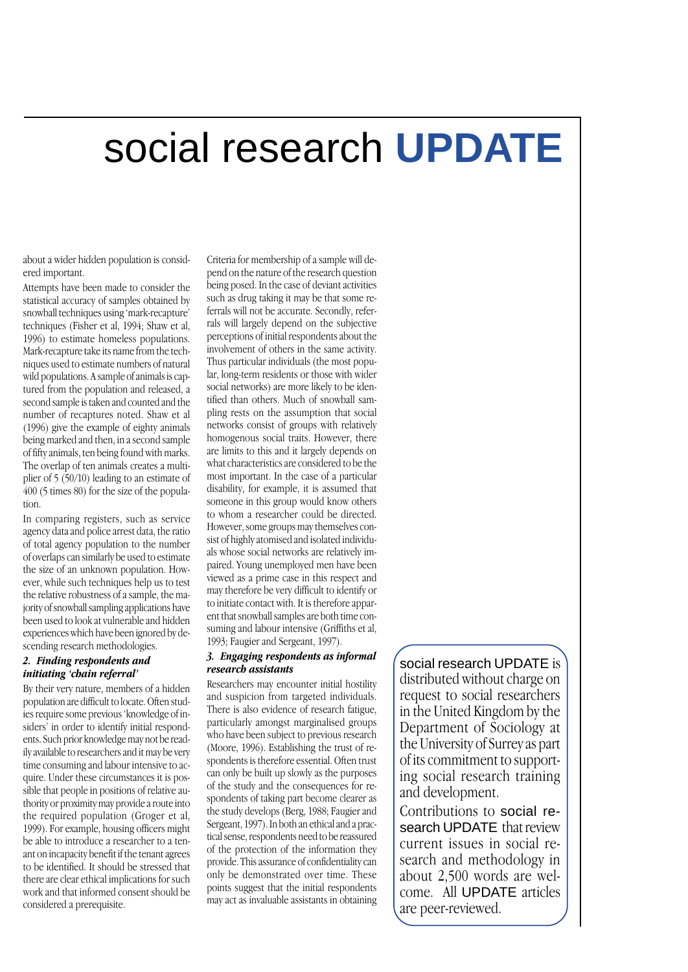## social research **UPDATE**

about a wider hidden population is considered important.

Attempts have been made to consider the statistical accuracy of samples obtained by snowball techniques using 'mark-recapture' techniques (Fisher et al, 1994; Shaw et al, 1996) to estimate homeless populations. Mark-recapture take its name from the techniques used to estimate numbers of natural wild populations. A sample of animals is captured from the population and released, a second sample is taken and counted and the number of recaptures noted. Shaw et al (1996) give the example of eighty animals being marked and then, in a second sample of fifty animals, ten being found with marks. The overlap of ten animals creates a multiplier of 5 (50/10) leading to an estimate of 400 (5 times 80) for the size of the population.

In comparing registers, such as service agency data and police arrest data, the ratio of total agency population to the number of overlaps can similarly be used to estimate the size of an unknown population. However, while such techniques help us to test the relative robustness of a sample, the majority of snowball sampling applications have been used to look at vulnerable and hidden experiences which have been ignored by descending research methodologies.

#### *2. Finding respondents and initiating 'chain referral'*

By their very nature, members of a hidden population are difficult to locate. Often studies require some previous 'knowledge of insiders' in order to identify initial respondents. Such prior knowledge may not be readily available to researchers and it may be very time consuming and labour intensive to acquire. Under these circumstances it is possible that people in positions of relative authority or proximity may provide a route into the required population (Groger et al, 1999). For example, housing officers might be able to introduce a researcher to a tenant on incapacity benefit if the tenant agrees to be identified. It should be stressed that there are clear ethical implications for such work and that informed consent should be considered a prerequisite.

Criteria for membership of a sample will depend on the nature of the research question being posed. In the case of deviant activities such as drug taking it may be that some referrals will not be accurate. Secondly, referrals will largely depend on the subjective perceptions of initial respondents about the involvement of others in the same activity. Thus particular individuals (the most popular, long-term residents or those with wider social networks) are more likely to be identified than others. Much of snowball sampling rests on the assumption that social networks consist of groups with relatively homogenous social traits. However, there are limits to this and it largely depends on what characteristics are considered to be the most important. In the case of a particular disability, for example, it is assumed that someone in this group would know others to whom a researcher could be directed. However, some groups may themselves consist of highly atomised and isolated individuals whose social networks are relatively impaired. Young unemployed men have been viewed as a prime case in this respect and may therefore be very difficult to identify or to initiate contact with. It is therefore apparent that snowball samples are both time consuming and labour intensive (Griffiths et al, 1993; Faugier and Sergeant, 1997).

#### *3. Engaging respondents as informal research assistants*

Researchers may encounter initial hostility and suspicion from targeted individuals. There is also evidence of research fatigue, particularly amongst marginalised groups who have been subject to previous research (Moore, 1996). Establishing the trust of respondents is therefore essential. Often trust can only be built up slowly as the purposes of the study and the consequences for respondents of taking part become clearer as the study develops (Berg, 1988; Faugier and Sergeant, 1997). In both an ethical and a practical sense, respondents need to be reassured of the protection of the information they provide. This assurance of confidentiality can only be demonstrated over time. These points suggest that the initial respondents may act as invaluable assistants in obtaining

social research UPDATE is distributed without charge on request to social researchers in the United Kingdom by the Department of Sociology at the University of Surrey as part of its commitment to supporting social research training and development.

Contributions to social research UPDATE that review current issues in social research and methodology in about 2,500 words are welcome. All UPDATE articles are peer-reviewed.